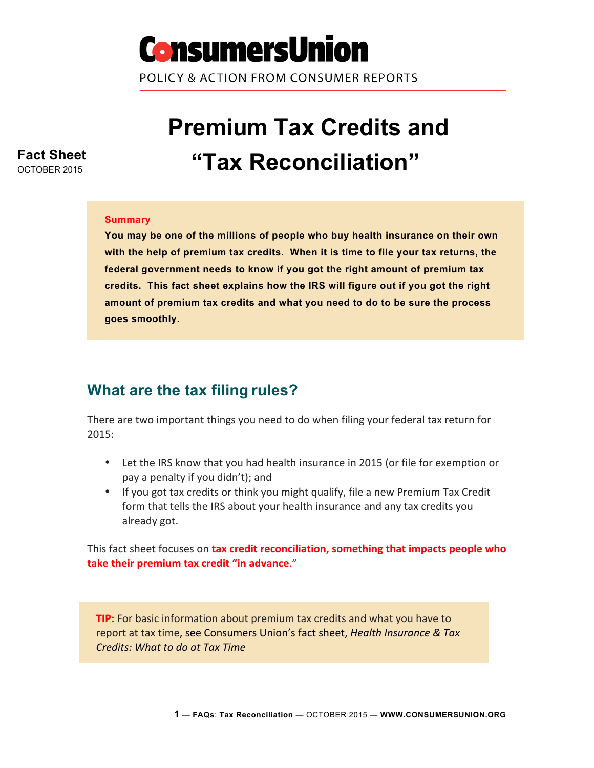

POLICY & ACTION FROM CONSUMER REPORTS

# **Premium Tax Credits and "Tax Reconciliation"**

#### **Summary**

**You may be one of the millions of people who buy health insurance on their own with the help of premium tax credits. When it is time to file your tax returns, the federal government needs to know if you got the right amount of premium tax credits. This fact sheet explains how the IRS will figure out if you got the right amount of premium tax credits and what you need to do to be sure the process goes smoothly.** 

#### **What are the tax filing rules?**

There are two important things you need to do when filing your federal tax return for 2015:

- Let the IRS know that you had health insurance in 2015 (or file for exemption or pay a penalty if you didn't); and
- If you got tax credits or think you might qualify, file a new Premium Tax Credit form that tells the IRS about your health insurance and any tax credits you already got.

This fact sheet focuses on tax credit reconciliation, something that impacts people who **take their premium tax credit "in advance."** 

**TIP:** For basic information about premium tax credits and what you have to report at tax time, see Consumers Union's fact sheet, *Health Insurance & Tax Credits: What to do at Tax Time* 

## **Fact Sheet**

OCTOBER 2015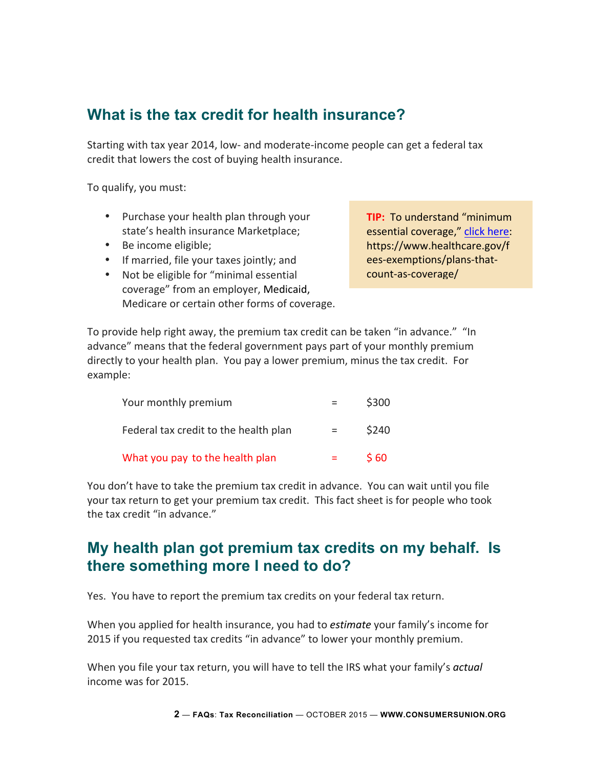#### **What is the tax credit for health insurance?**

Starting with tax year 2014, low- and moderate-income people can get a federal tax credit that lowers the cost of buying health insurance.

To qualify, you must:

- Purchase your health plan through your state's health insurance Marketplace;
- Be income eligible;
- If married, file your taxes jointly; and
- Not be eligible for "minimal essential coverage" from an employer, Medicaid, Medicare or certain other forms of coverage.

**TIP:** To understand "minimum essential coverage," click here: https://www.healthcare.gov/f ees-exemptions/plans-thatcount-as-coverage/ 

To provide help right away, the premium tax credit can be taken "in advance." "In advance" means that the federal government pays part of your monthly premium directly to your health plan. You pay a lower premium, minus the tax credit. For example: 

| Your monthly premium                  |         | \$300 |
|---------------------------------------|---------|-------|
| Federal tax credit to the health plan | $=$     | \$240 |
| What you pay to the health plan       | $=$ $-$ | \$60  |

You don't have to take the premium tax credit in advance. You can wait until you file your tax return to get your premium tax credit. This fact sheet is for people who took the tax credit "in advance."

#### **My health plan got premium tax credits on my behalf. Is there something more I need to do?**

Yes. You have to report the premium tax credits on your federal tax return.

When you applied for health insurance, you had to *estimate* your family's income for 2015 if you requested tax credits "in advance" to lower your monthly premium.

When you file your tax return, you will have to tell the IRS what your family's *actual* income was for 2015.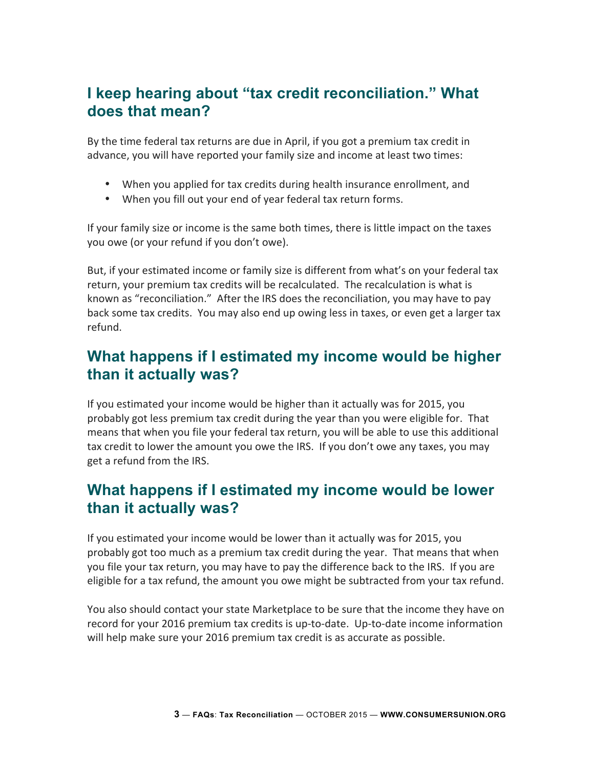#### **I keep hearing about "tax credit reconciliation." What does that mean?**

By the time federal tax returns are due in April, if you got a premium tax credit in advance, you will have reported your family size and income at least two times:

- When you applied for tax credits during health insurance enrollment, and
- When you fill out your end of year federal tax return forms.

If your family size or income is the same both times, there is little impact on the taxes you owe (or your refund if you don't owe).

But, if your estimated income or family size is different from what's on your federal tax return, your premium tax credits will be recalculated. The recalculation is what is known as "reconciliation." After the IRS does the reconciliation, you may have to pay back some tax credits. You may also end up owing less in taxes, or even get a larger tax refund. 

#### **What happens if I estimated my income would be higher than it actually was?**

If you estimated your income would be higher than it actually was for 2015, you probably got less premium tax credit during the year than you were eligible for. That means that when you file your federal tax return, you will be able to use this additional tax credit to lower the amount you owe the IRS. If you don't owe any taxes, you may get a refund from the IRS.

#### **What happens if I estimated my income would be lower than it actually was?**

If you estimated your income would be lower than it actually was for 2015, you probably got too much as a premium tax credit during the year. That means that when you file your tax return, you may have to pay the difference back to the IRS. If you are eligible for a tax refund, the amount you owe might be subtracted from your tax refund.

You also should contact your state Marketplace to be sure that the income they have on record for your 2016 premium tax credits is up-to-date. Up-to-date income information will help make sure your 2016 premium tax credit is as accurate as possible.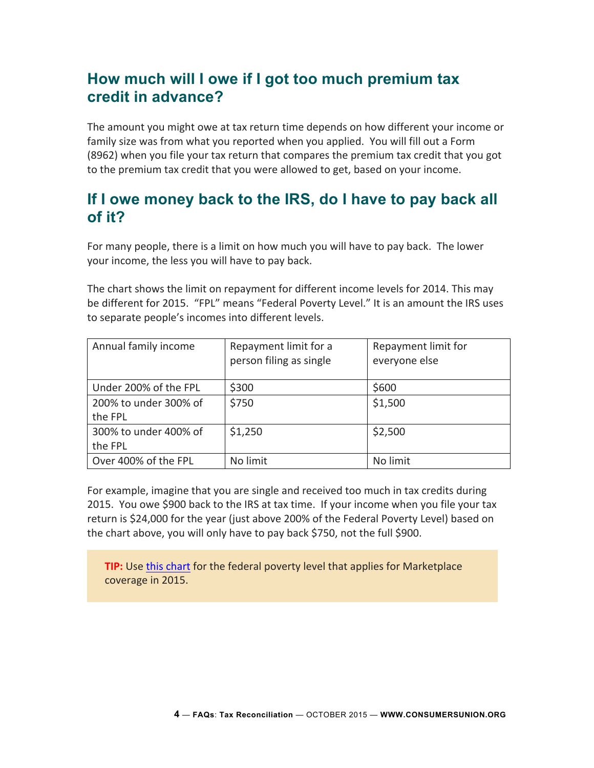#### **How much will I owe if I got too much premium tax credit in advance?**

The amount you might owe at tax return time depends on how different your income or family size was from what you reported when you applied. You will fill out a Form (8962) when you file your tax return that compares the premium tax credit that you got to the premium tax credit that you were allowed to get, based on your income.

#### **If I owe money back to the IRS, do I have to pay back all of it?**

For many people, there is a limit on how much you will have to pay back. The lower your income, the less you will have to pay back.

The chart shows the limit on repayment for different income levels for 2014. This may be different for 2015. "FPL" means "Federal Poverty Level." It is an amount the IRS uses to separate people's incomes into different levels.

| Annual family income  | Repayment limit for a<br>person filing as single | Repayment limit for<br>everyone else |
|-----------------------|--------------------------------------------------|--------------------------------------|
| Under 200% of the FPL | \$300                                            | \$600                                |
| 200% to under 300% of | \$750                                            | \$1,500                              |
| the FPL               |                                                  |                                      |
| 300% to under 400% of | \$1,250                                          | \$2,500                              |
| the FPL               |                                                  |                                      |
| Over 400% of the FPL  | No limit                                         | No limit                             |

For example, imagine that you are single and received too much in tax credits during 2015. You owe \$900 back to the IRS at tax time. If your income when you file your tax return is \$24,000 for the year (just above 200% of the Federal Poverty Level) based on the chart above, you will only have to pay back \$750, not the full \$900.

**TIP:** Use this chart for the federal poverty level that applies for Marketplace coverage in 2015.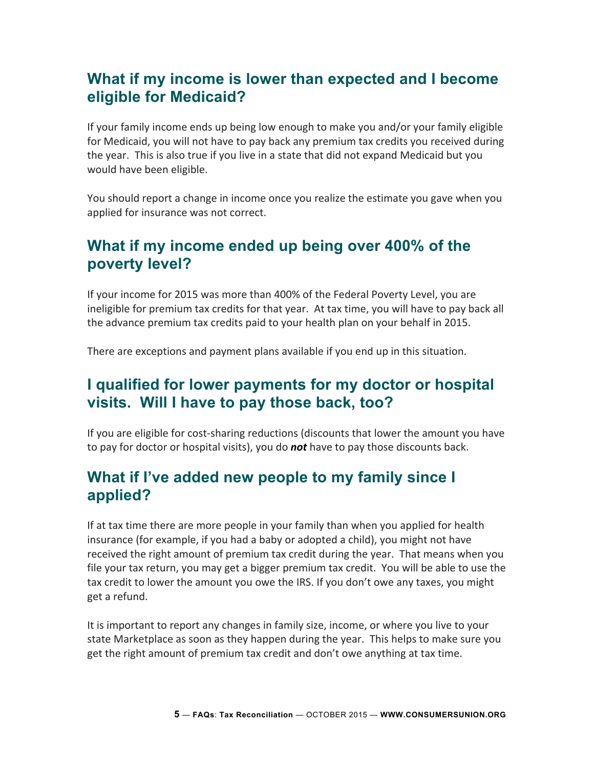#### **What if my income is lower than expected and I become eligible for Medicaid?**

If your family income ends up being low enough to make you and/or your family eligible for Medicaid, you will not have to pay back any premium tax credits you received during the year. This is also true if you live in a state that did not expand Medicaid but you would have been eligible.

You should report a change in income once you realize the estimate you gave when you applied for insurance was not correct.

#### **What if my income ended up being over 400% of the poverty level?**

If your income for 2015 was more than 400% of the Federal Poverty Level, you are ineligible for premium tax credits for that year. At tax time, you will have to pay back all the advance premium tax credits paid to your health plan on your behalf in 2015.

There are exceptions and payment plans available if you end up in this situation.

#### **I qualified for lower payments for my doctor or hospital visits. Will I have to pay those back, too?**

If you are eligible for cost-sharing reductions (discounts that lower the amount you have to pay for doctor or hospital visits), you do **not** have to pay those discounts back.

#### **What if I've added new people to my family since I applied?**

If at tax time there are more people in your family than when you applied for health insurance (for example, if you had a baby or adopted a child), you might not have received the right amount of premium tax credit during the year. That means when you file your tax return, you may get a bigger premium tax credit. You will be able to use the tax credit to lower the amount you owe the IRS. If you don't owe any taxes, you might get a refund.

It is important to report any changes in family size, income, or where you live to your state Marketplace as soon as they happen during the year. This helps to make sure you get the right amount of premium tax credit and don't owe anything at tax time.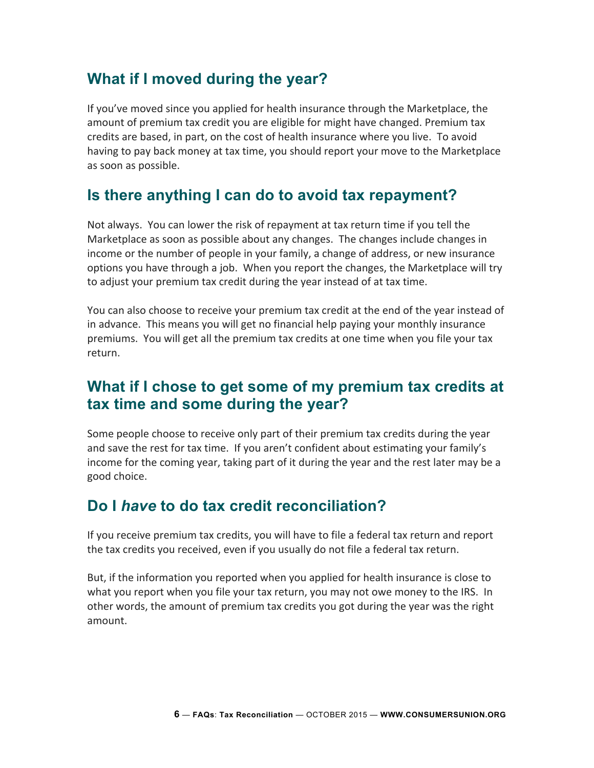#### **What if I moved during the year?**

If you've moved since you applied for health insurance through the Marketplace, the amount of premium tax credit you are eligible for might have changed. Premium tax credits are based, in part, on the cost of health insurance where you live. To avoid having to pay back money at tax time, you should report your move to the Marketplace as soon as possible.

#### **Is there anything I can do to avoid tax repayment?**

Not always. You can lower the risk of repayment at tax return time if you tell the Marketplace as soon as possible about any changes. The changes include changes in income or the number of people in your family, a change of address, or new insurance options you have through a job. When you report the changes, the Marketplace will try to adjust your premium tax credit during the year instead of at tax time.

You can also choose to receive your premium tax credit at the end of the year instead of in advance. This means you will get no financial help paying your monthly insurance premiums. You will get all the premium tax credits at one time when you file your tax return. 

#### **What if I chose to get some of my premium tax credits at tax time and some during the year?**

Some people choose to receive only part of their premium tax credits during the year and save the rest for tax time. If you aren't confident about estimating your family's income for the coming year, taking part of it during the year and the rest later may be a good choice. 

#### **Do I** *have* **to do tax credit reconciliation?**

If you receive premium tax credits, you will have to file a federal tax return and report the tax credits you received, even if you usually do not file a federal tax return.

But, if the information you reported when you applied for health insurance is close to what you report when you file your tax return, you may not owe money to the IRS. In other words, the amount of premium tax credits you got during the year was the right amount.